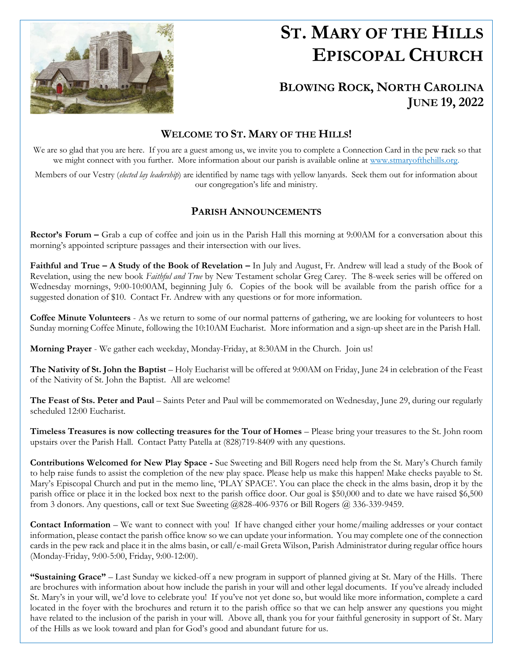

# **ST. MARY OF THE HILLS EPISCOPAL CHURCH**

## **BLOWING ROCK, NORTH CAROLINA JUNE 19, 2022**

### **WELCOME TO ST. MARY OF THE HILLS!**

We are so glad that you are here. If you are a guest among us, we invite you to complete a Connection Card in the pew rack so that we might connect with you further. More information about our parish is available online at [www.stmaryofthehills.org.](http://www.stmaryofthehills.org/)

Members of our Vestry (*elected lay leadership*) are identified by name tags with yellow lanyards. Seek them out for information about our congregation's life and ministry.

#### **PARISH ANNOUNCEMENTS**

**Rector's Forum –** Grab a cup of coffee and join us in the Parish Hall this morning at 9:00AM for a conversation about this morning's appointed scripture passages and their intersection with our lives.

**Faithful and True – A Study of the Book of Revelation –** In July and August, Fr. Andrew will lead a study of the Book of Revelation, using the new book *Faithful and True* by New Testament scholar Greg Carey. The 8-week series will be offered on Wednesday mornings, 9:00-10:00AM, beginning July 6. Copies of the book will be available from the parish office for a suggested donation of \$10. Contact Fr. Andrew with any questions or for more information.

**Coffee Minute Volunteers** - As we return to some of our normal patterns of gathering, we are looking for volunteers to host Sunday morning Coffee Minute, following the 10:10AM Eucharist. More information and a sign-up sheet are in the Parish Hall.

**Morning Prayer** - We gather each weekday, Monday-Friday, at 8:30AM in the Church. Join us!

**The Nativity of St. John the Baptist** – Holy Eucharist will be offered at 9:00AM on Friday, June 24 in celebration of the Feast of the Nativity of St. John the Baptist. All are welcome!

**The Feast of Sts. Peter and Paul** – Saints Peter and Paul will be commemorated on Wednesday, June 29, during our regularly scheduled 12:00 Eucharist.

**Timeless Treasures is now collecting treasures for the Tour of Homes** – Please bring your treasures to the St. John room upstairs over the Parish Hall. Contact Patty Patella at (828)719-8409 with any questions.

**Contributions Welcomed for New Play Space -** Sue Sweeting and Bill Rogers need help from the St. Mary's Church family to help raise funds to assist the completion of the new play space. Please help us make this happen! Make checks payable to St. Mary's Episcopal Church and put in the memo line, 'PLAY SPACE'. You can place the check in the alms basin, drop it by the parish office or place it in the locked box next to the parish office door. Our goal is \$50,000 and to date we have raised \$6,500 from 3 donors. Any questions, call or text Sue Sweeting @828-406-9376 or Bill Rogers @ 336-339-9459.

**Contact Information** – We want to connect with you! If have changed either your home/mailing addresses or your contact information, please contact the parish office know so we can update your information. You may complete one of the connection cards in the pew rack and place it in the alms basin, or call/e-mail Greta Wilson, Parish Administrator during regular office hours (Monday-Friday, 9:00-5:00, Friday, 9:00-12:00).

**"Sustaining Grace"** – Last Sunday we kicked-off a new program in support of planned giving at St. Mary of the Hills. There are brochures with information about how include the parish in your will and other legal documents. If you've already included St. Mary's in your will, we'd love to celebrate you! If you've not yet done so, but would like more information, complete a card located in the foyer with the brochures and return it to the parish office so that we can help answer any questions you might have related to the inclusion of the parish in your will. Above all, thank you for your faithful generosity in support of St. Mary of the Hills as we look toward and plan for God's good and abundant future for us.